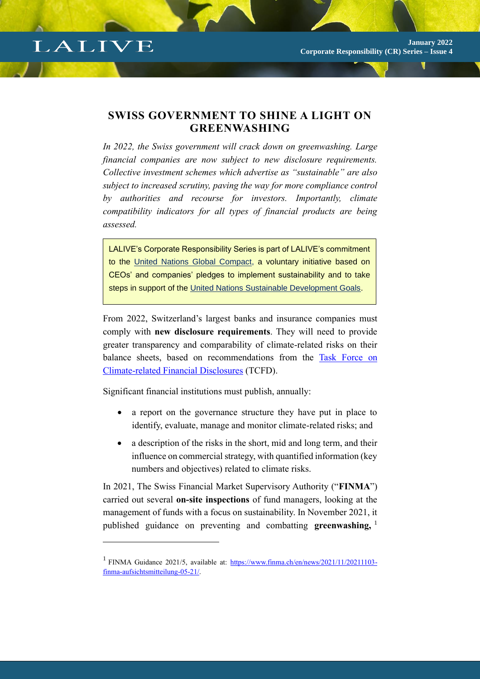## LALIVE

## **SWISS GOVERNMENT TO SHINE A LIGHT ON GREENWASHING**

*In 2022, the Swiss government will crack down on greenwashing. Large financial companies are now subject to new disclosure requirements. Collective investment schemes which advertise as "sustainable" are also subject to increased scrutiny, paving the way for more compliance control by authorities and recourse for investors. Importantly, climate compatibility indicators for all types of financial products are being assessed.* 

LALIVE's Corporate Responsibility Series is part of LALIVE's commitment to the [United Nations Global Compact,](https://www.unglobalcompact.org/what-is-gc) a voluntary initiative based on CEOs' and companies' pledges to implement sustainability and to take steps in support of the [United Nations Sustainable Development Goals.](https://sdgs.un.org/goals)

From 2022, Switzerland's largest banks and insurance companies must comply with **new disclosure requirements**. They will need to provide greater transparency and comparability of climate-related risks on their balance sheets, based on recommendations from the [Task Force on](https://www.fsb-tcfd.org/)  [Climate-related Financial Disclosures](https://www.fsb-tcfd.org/) (TCFD).

Significant financial institutions must publish, annually:

- a report on the governance structure they have put in place to identify, evaluate, manage and monitor climate-related risks; and
- a description of the risks in the short, mid and long term, and their influence on commercial strategy, with quantified information (key numbers and objectives) related to climate risks.

In 2021, The Swiss Financial Market Supervisory Authority ("**FINMA**") carried out several **on-site inspections** of fund managers, looking at the management of funds with a focus on sustainability. In November 2021, it published guidance on preventing and combatting **greenwashing,** <sup>1</sup>

<sup>&</sup>lt;sup>1</sup> FINMA Guidance 2021/5, available at: [https://www.finma.ch/en/news/2021/11/20211103](https://www.finma.ch/en/news/2021/11/20211103-finma-aufsichtsmitteilung-05-21/) [finma-aufsichtsmitteilung-05-21/.](https://www.finma.ch/en/news/2021/11/20211103-finma-aufsichtsmitteilung-05-21/)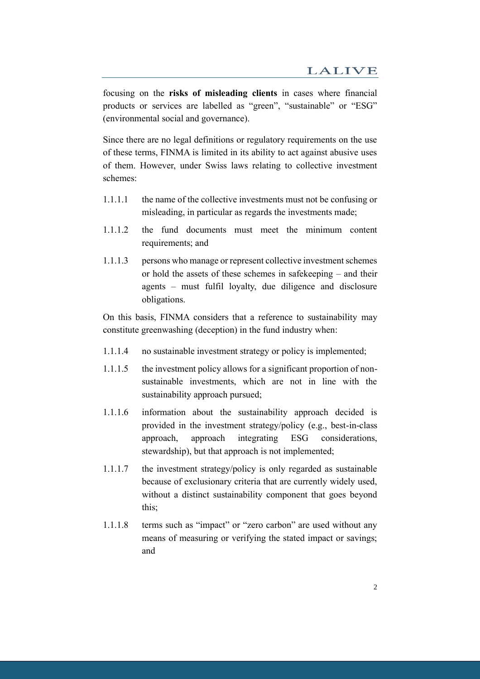focusing on the **risks of misleading clients** in cases where financial products or services are labelled as "green", "sustainable" or "ESG" (environmental social and governance).

Since there are no legal definitions or regulatory requirements on the use of these terms, FINMA is limited in its ability to act against abusive uses of them. However, under Swiss laws relating to collective investment schemes:

- 1.1.1.1 the name of the collective investments must not be confusing or misleading, in particular as regards the investments made;
- 1.1.1.2 the fund documents must meet the minimum content requirements; and
- 1.1.1.3 persons who manage or represent collective investment schemes or hold the assets of these schemes in safekeeping – and their agents – must fulfil loyalty, due diligence and disclosure obligations.

On this basis, FINMA considers that a reference to sustainability may constitute greenwashing (deception) in the fund industry when:

- 1.1.1.4 no sustainable investment strategy or policy is implemented;
- 1.1.1.5 the investment policy allows for a significant proportion of nonsustainable investments, which are not in line with the sustainability approach pursued;
- 1.1.1.6 information about the sustainability approach decided is provided in the investment strategy/policy (e.g., best-in-class approach, approach integrating ESG considerations, stewardship), but that approach is not implemented;
- 1.1.1.7 the investment strategy/policy is only regarded as sustainable because of exclusionary criteria that are currently widely used, without a distinct sustainability component that goes beyond this;
- 1.1.1.8 terms such as "impact" or "zero carbon" are used without any means of measuring or verifying the stated impact or savings; and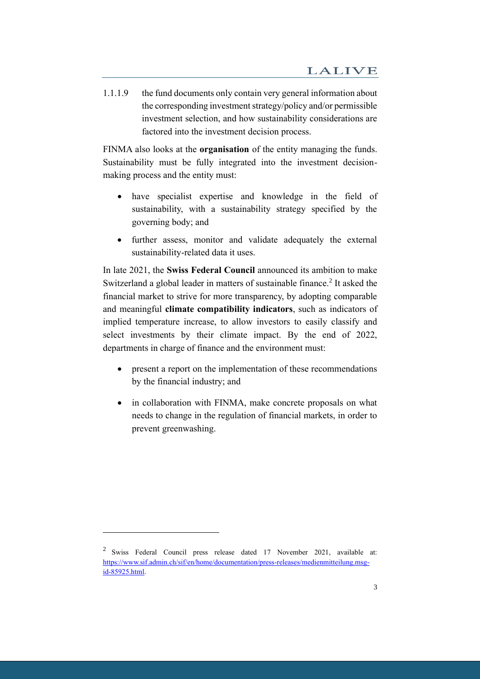1.1.1.9 the fund documents only contain very general information about the corresponding investment strategy/policy and/or permissible investment selection, and how sustainability considerations are factored into the investment decision process.

FINMA also looks at the **organisation** of the entity managing the funds. Sustainability must be fully integrated into the investment decisionmaking process and the entity must:

- have specialist expertise and knowledge in the field of sustainability, with a sustainability strategy specified by the governing body; and
- further assess, monitor and validate adequately the external sustainability-related data it uses.

In late 2021, the **Swiss Federal Council** announced its ambition to make Switzerland a global leader in matters of sustainable finance.<sup>2</sup> It asked the financial market to strive for more transparency, by adopting comparable and meaningful **climate compatibility indicators**, such as indicators of implied temperature increase, to allow investors to easily classify and select investments by their climate impact. By the end of 2022, departments in charge of finance and the environment must:

- present a report on the implementation of these recommendations by the financial industry; and
- in collaboration with FINMA, make concrete proposals on what needs to change in the regulation of financial markets, in order to prevent greenwashing.

 $2$  Swiss Federal Council press release dated 17 November 2021, available at: [https://www.sif.admin.ch/sif/en/home/documentation/press-releases/medienmitteilung.msg](https://www.sif.admin.ch/sif/en/home/documentation/press-releases/medienmitteilung.msg-id-85925.html)[id-85925.html.](https://www.sif.admin.ch/sif/en/home/documentation/press-releases/medienmitteilung.msg-id-85925.html)